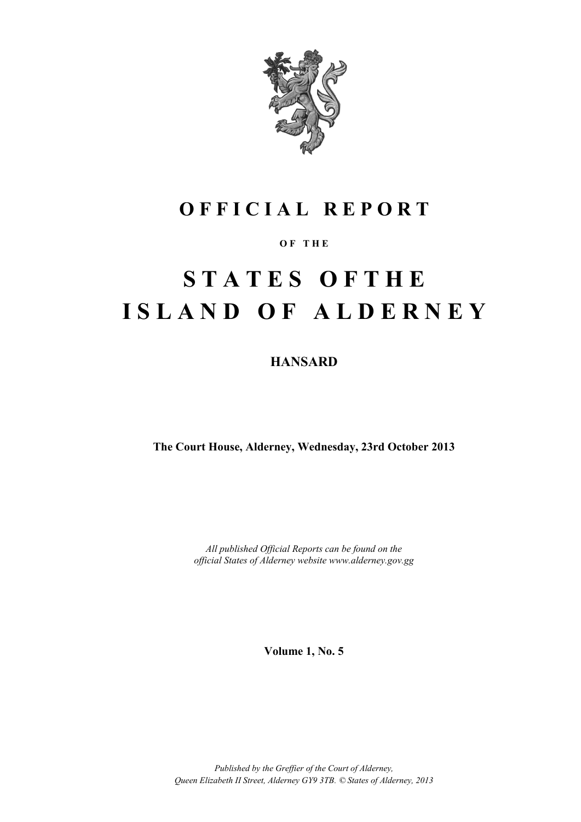

## **O F F I C I A L R E P O R T**

#### **O F T H E**

# **S T A T E S O F T H E I S L A N D O F A L D E R N E Y**

**HANSARD**

**The Court House, Alderney, Wednesday, 23rd October 2013**

*All published Official Reports can be found on the official States of Alderney website www.alderney.gov.gg*

**Volume 1, No. 5**

*Published by the Greffier of the Court of Alderney, Queen Elizabeth II Street, Alderney GY9 3TB. © States of Alderney, 2013*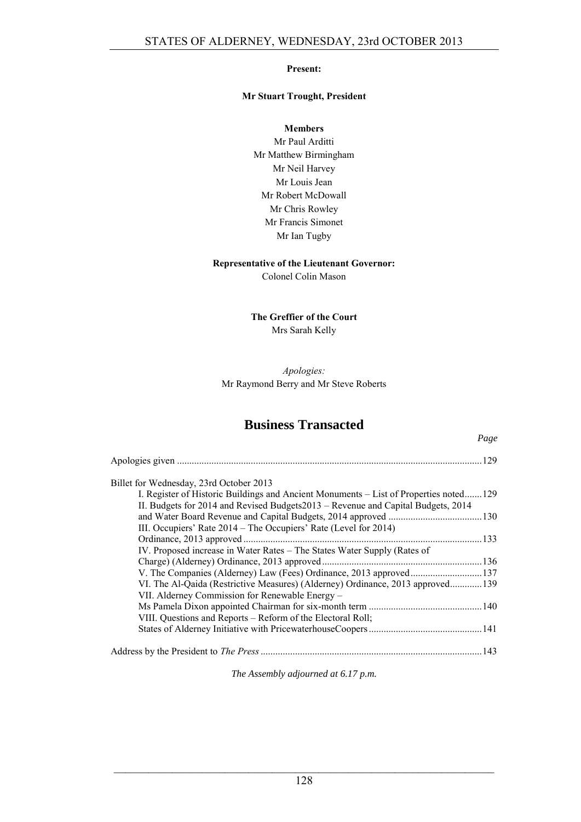#### **Present:**

#### **Mr Stuart Trought, President**

**Members**

Mr Paul Arditti Mr Matthew Birmingham Mr Neil Harvey Mr Louis Jean Mr Robert McDowall Mr Chris Rowley Mr Francis Simonet Mr Ian Tugby

#### **Representative of the Lieutenant Governor:**

Colonel Colin Mason

#### **The Greffier of the Court** Mrs Sarah Kelly

#### *Apologies:* Mr Raymond Berry and Mr Steve Roberts

### **Business Transacted**

*Page*

|                                                                                       | 129 |
|---------------------------------------------------------------------------------------|-----|
| Billet for Wednesday, 23rd October 2013                                               |     |
| I. Register of Historic Buildings and Ancient Monuments – List of Properties noted129 |     |
| II. Budgets for 2014 and Revised Budgets 2013 – Revenue and Capital Budgets, 2014     |     |
|                                                                                       |     |
| III. Occupiers' Rate 2014 – The Occupiers' Rate (Level for 2014)                      |     |
| Ordinance, 2013 approved                                                              |     |
| IV. Proposed increase in Water Rates – The States Water Supply (Rates of              |     |
|                                                                                       |     |
| V. The Companies (Alderney) Law (Fees) Ordinance, 2013 approved137                    |     |
| VI. The Al-Qaida (Restrictive Measures) (Alderney) Ordinance, 2013 approved139        |     |
| VII. Alderney Commission for Renewable Energy –                                       |     |
|                                                                                       |     |
| VIII. Questions and Reports – Reform of the Electoral Roll;                           |     |
|                                                                                       |     |
|                                                                                       |     |

*The Assembly adjourned at 6.17 p.m.*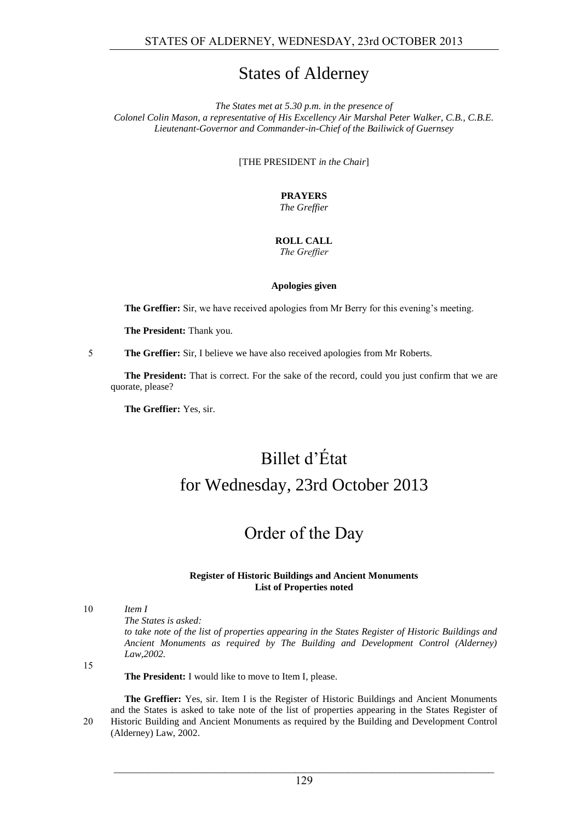### States of Alderney

*The States met at 5.30 p.m. in the presence of Colonel Colin Mason, a representative of His Excellency Air Marshal Peter Walker, C.B., C.B.E. Lieutenant-Governor and Commander-in-Chief of the Bailiwick of Guernsey*

[THE PRESIDENT *in the Chair*]

**PRAYERS** *The Greffier*

#### **ROLL CALL** *The Greffier*

#### **Apologies given**

**The Greffier:** Sir, we have received apologies from Mr Berry for this evening's meeting.

**The President:** Thank you.

5 **The Greffier:** Sir, I believe we have also received apologies from Mr Roberts.

**The President:** That is correct. For the sake of the record, could you just confirm that we are quorate, please?

**The Greffier:** Yes, sir.

## Billet d'État for Wednesday, 23rd October 2013

## Order of the Day

#### **Register of Historic Buildings and Ancient Monuments List of Properties noted**

10 *Item I*

*The States is asked:*

*to take note of the list of properties appearing in the States Register of Historic Buildings and Ancient Monuments as required by The Building and Development Control (Alderney) Law,2002.*

15

**The President:** I would like to move to Item I, please.

**The Greffier:** Yes, sir. Item I is the Register of Historic Buildings and Ancient Monuments and the States is asked to take note of the list of properties appearing in the States Register of 20 Historic Building and Ancient Monuments as required by the Building and Development Control (Alderney) Law, 2002.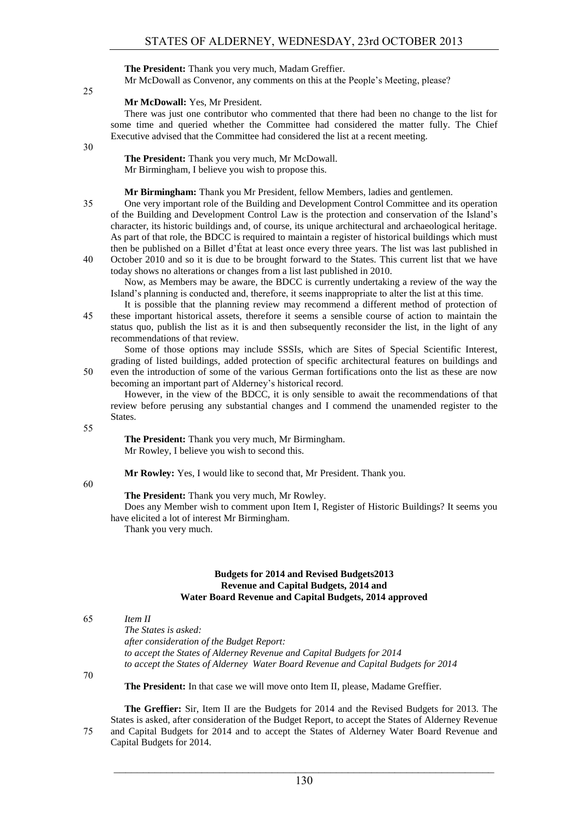**The President:** Thank you very much, Madam Greffier.

Mr McDowall as Convenor, any comments on this at the People's Meeting, please?

25

#### **Mr McDowall:** Yes, Mr President.

There was just one contributor who commented that there had been no change to the list for some time and queried whether the Committee had considered the matter fully. The Chief Executive advised that the Committee had considered the list at a recent meeting.

30

**The President:** Thank you very much, Mr McDowall. Mr Birmingham, I believe you wish to propose this.

**Mr Birmingham:** Thank you Mr President, fellow Members, ladies and gentlemen.

- 35 One very important role of the Building and Development Control Committee and its operation of the Building and Development Control Law is the protection and conservation of the Island's character, its historic buildings and, of course, its unique architectural and archaeological heritage. As part of that role, the BDCC is required to maintain a register of historical buildings which must then be published on a Billet d'État at least once every three years. The list was last published in
- 40 October 2010 and so it is due to be brought forward to the States. This current list that we have today shows no alterations or changes from a list last published in 2010. Now, as Members may be aware, the BDCC is currently undertaking a review of the way the

Island's planning is conducted and, therefore, it seems inappropriate to alter the list at this time.

It is possible that the planning review may recommend a different method of protection of 45 these important historical assets, therefore it seems a sensible course of action to maintain the status quo, publish the list as it is and then subsequently reconsider the list, in the light of any recommendations of that review.

Some of those options may include SSSIs, which are Sites of Special Scientific Interest, grading of listed buildings, added protection of specific architectural features on buildings and 50 even the introduction of some of the various German fortifications onto the list as these are now

becoming an important part of Alderney's historical record. However, in the view of the BDCC, it is only sensible to await the recommendations of that review before perusing any substantial changes and I commend the unamended register to the

55

States.

**The President:** Thank you very much, Mr Birmingham. Mr Rowley, I believe you wish to second this.

**Mr Rowley:** Yes, I would like to second that, Mr President. Thank you.

60

**The President:** Thank you very much, Mr Rowley.

Does any Member wish to comment upon Item I, Register of Historic Buildings? It seems you have elicited a lot of interest Mr Birmingham.

Thank you very much.

#### **Budgets for 2014 and Revised Budgets2013 Revenue and Capital Budgets, 2014 and Water Board Revenue and Capital Budgets, 2014 approved**

65 *Item II*

*The States is asked: after consideration of the Budget Report: to accept the States of Alderney Revenue and Capital Budgets for 2014 to accept the States of Alderney Water Board Revenue and Capital Budgets for 2014*

70

**The President:** In that case we will move onto Item II, please, Madame Greffier.

**The Greffier:** Sir, Item II are the Budgets for 2014 and the Revised Budgets for 2013. The States is asked, after consideration of the Budget Report, to accept the States of Alderney Revenue 75 and Capital Budgets for 2014 and to accept the States of Alderney Water Board Revenue and Capital Budgets for 2014.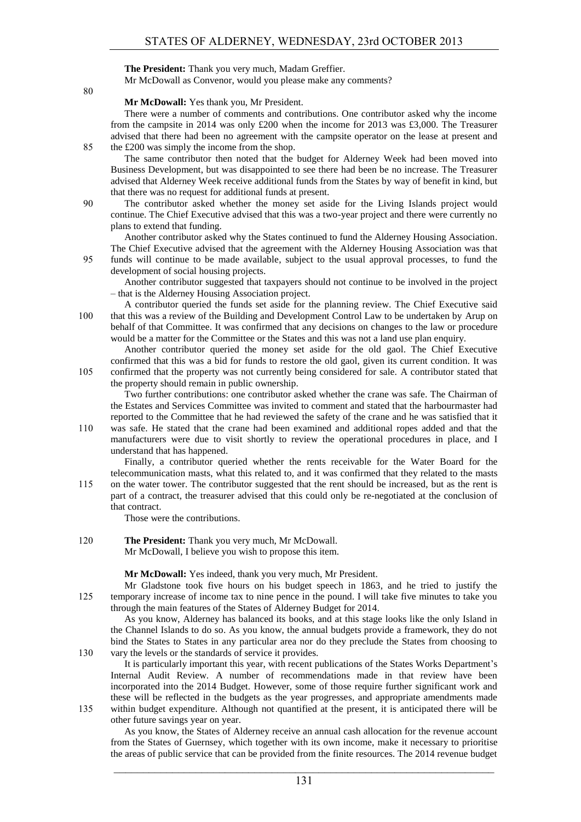**The President:** Thank you very much, Madam Greffier. Mr McDowall as Convenor, would you please make any comments?

80

#### **Mr McDowall:** Yes thank you, Mr President.

There were a number of comments and contributions. One contributor asked why the income from the campsite in 2014 was only £200 when the income for 2013 was £3,000. The Treasurer advised that there had been no agreement with the campsite operator on the lease at present and 85 the £200 was simply the income from the shop.

The same contributor then noted that the budget for Alderney Week had been moved into Business Development, but was disappointed to see there had been be no increase. The Treasurer advised that Alderney Week receive additional funds from the States by way of benefit in kind, but that there was no request for additional funds at present.

90 The contributor asked whether the money set aside for the Living Islands project would continue. The Chief Executive advised that this was a two-year project and there were currently no plans to extend that funding.

Another contributor asked why the States continued to fund the Alderney Housing Association. The Chief Executive advised that the agreement with the Alderney Housing Association was that 95 funds will continue to be made available, subject to the usual approval processes, to fund the

Another contributor suggested that taxpayers should not continue to be involved in the project – that is the Alderney Housing Association project.

A contributor queried the funds set aside for the planning review. The Chief Executive said 100 that this was a review of the Building and Development Control Law to be undertaken by Arup on behalf of that Committee. It was confirmed that any decisions on changes to the law or procedure would be a matter for the Committee or the States and this was not a land use plan enquiry.

Another contributor queried the money set aside for the old gaol. The Chief Executive confirmed that this was a bid for funds to restore the old gaol, given its current condition. It was 105 confirmed that the property was not currently being considered for sale. A contributor stated that

the property should remain in public ownership.

Two further contributions: one contributor asked whether the crane was safe. The Chairman of the Estates and Services Committee was invited to comment and stated that the harbourmaster had reported to the Committee that he had reviewed the safety of the crane and he was satisfied that it

110 was safe. He stated that the crane had been examined and additional ropes added and that the manufacturers were due to visit shortly to review the operational procedures in place, and I understand that has happened.

Finally, a contributor queried whether the rents receivable for the Water Board for the telecommunication masts, what this related to, and it was confirmed that they related to the masts 115 on the water tower. The contributor suggested that the rent should be increased, but as the rent is part of a contract, the treasurer advised that this could only be re-negotiated at the conclusion of that contract.

Those were the contributions.

development of social housing projects.

120 **The President:** Thank you very much, Mr McDowall. Mr McDowall, I believe you wish to propose this item.

**Mr McDowall:** Yes indeed, thank you very much, Mr President.

Mr Gladstone took five hours on his budget speech in 1863, and he tried to justify the 125 temporary increase of income tax to nine pence in the pound. I will take five minutes to take you through the main features of the States of Alderney Budget for 2014.

As you know, Alderney has balanced its books, and at this stage looks like the only Island in the Channel Islands to do so. As you know, the annual budgets provide a framework, they do not bind the States to States in any particular area nor do they preclude the States from choosing to 130 vary the levels or the standards of service it provides.

It is particularly important this year, with recent publications of the States Works Department's Internal Audit Review. A number of recommendations made in that review have been incorporated into the 2014 Budget. However, some of those require further significant work and these will be reflected in the budgets as the year progresses, and appropriate amendments made 135 within budget expenditure. Although not quantified at the present, it is anticipated there will be

other future savings year on year.

As you know, the States of Alderney receive an annual cash allocation for the revenue account from the States of Guernsey, which together with its own income, make it necessary to prioritise the areas of public service that can be provided from the finite resources. The 2014 revenue budget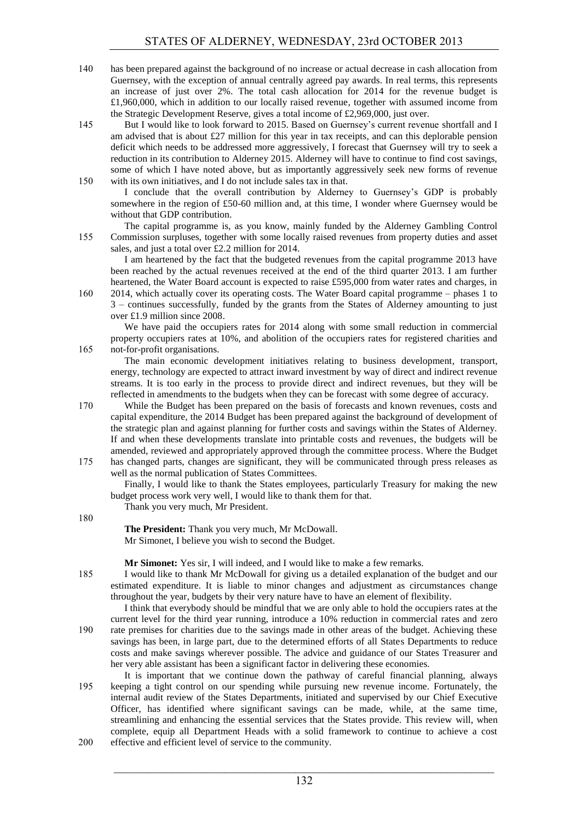- 140 has been prepared against the background of no increase or actual decrease in cash allocation from Guernsey, with the exception of annual centrally agreed pay awards. In real terms, this represents an increase of just over 2%. The total cash allocation for 2014 for the revenue budget is £1,960,000, which in addition to our locally raised revenue, together with assumed income from the Strategic Development Reserve, gives a total income of £2,969,000, just over.
- 145 But I would like to look forward to 2015. Based on Guernsey's current revenue shortfall and I am advised that is about  $\pounds 27$  million for this year in tax receipts, and can this deplorable pension deficit which needs to be addressed more aggressively, I forecast that Guernsey will try to seek a reduction in its contribution to Alderney 2015. Alderney will have to continue to find cost savings, some of which I have noted above, but as importantly aggressively seek new forms of revenue 150 with its own initiatives, and I do not include sales tax in that.

I conclude that the overall contribution by Alderney to Guernsey's GDP is probably somewhere in the region of £50-60 million and, at this time, I wonder where Guernsey would be without that GDP contribution.

The capital programme is, as you know, mainly funded by the Alderney Gambling Control 155 Commission surpluses, together with some locally raised revenues from property duties and asset sales, and just a total over £2.2 million for 2014.

I am heartened by the fact that the budgeted revenues from the capital programme 2013 have been reached by the actual revenues received at the end of the third quarter 2013. I am further heartened, the Water Board account is expected to raise £595,000 from water rates and charges, in

160 2014, which actually cover its operating costs. The Water Board capital programme – phases 1 to 3 – continues successfully, funded by the grants from the States of Alderney amounting to just over £1.9 million since 2008.

We have paid the occupiers rates for 2014 along with some small reduction in commercial property occupiers rates at 10%, and abolition of the occupiers rates for registered charities and 165 not-for-profit organisations.

The main economic development initiatives relating to business development, transport, energy, technology are expected to attract inward investment by way of direct and indirect revenue streams. It is too early in the process to provide direct and indirect revenues, but they will be reflected in amendments to the budgets when they can be forecast with some degree of accuracy.

- 170 While the Budget has been prepared on the basis of forecasts and known revenues, costs and capital expenditure, the 2014 Budget has been prepared against the background of development of the strategic plan and against planning for further costs and savings within the States of Alderney. If and when these developments translate into printable costs and revenues, the budgets will be amended, reviewed and appropriately approved through the committee process. Where the Budget
- 175 has changed parts, changes are significant, they will be communicated through press releases as well as the normal publication of States Committees.

Finally, I would like to thank the States employees, particularly Treasury for making the new budget process work very well, I would like to thank them for that.

Thank you very much, Mr President.

180

**The President:** Thank you very much, Mr McDowall. Mr Simonet, I believe you wish to second the Budget.

**Mr Simonet:** Yes sir, I will indeed, and I would like to make a few remarks.

185 I would like to thank Mr McDowall for giving us a detailed explanation of the budget and our estimated expenditure. It is liable to minor changes and adjustment as circumstances change throughout the year, budgets by their very nature have to have an element of flexibility.

- I think that everybody should be mindful that we are only able to hold the occupiers rates at the current level for the third year running, introduce a 10% reduction in commercial rates and zero 190 rate premises for charities due to the savings made in other areas of the budget. Achieving these savings has been, in large part, due to the determined efforts of all States Departments to reduce costs and make savings wherever possible. The advice and guidance of our States Treasurer and her very able assistant has been a significant factor in delivering these economies.
- It is important that we continue down the pathway of careful financial planning, always 195 keeping a tight control on our spending while pursuing new revenue income. Fortunately, the internal audit review of the States Departments, initiated and supervised by our Chief Executive Officer, has identified where significant savings can be made, while, at the same time, streamlining and enhancing the essential services that the States provide. This review will, when complete, equip all Department Heads with a solid framework to continue to achieve a cost 200 effective and efficient level of service to the community.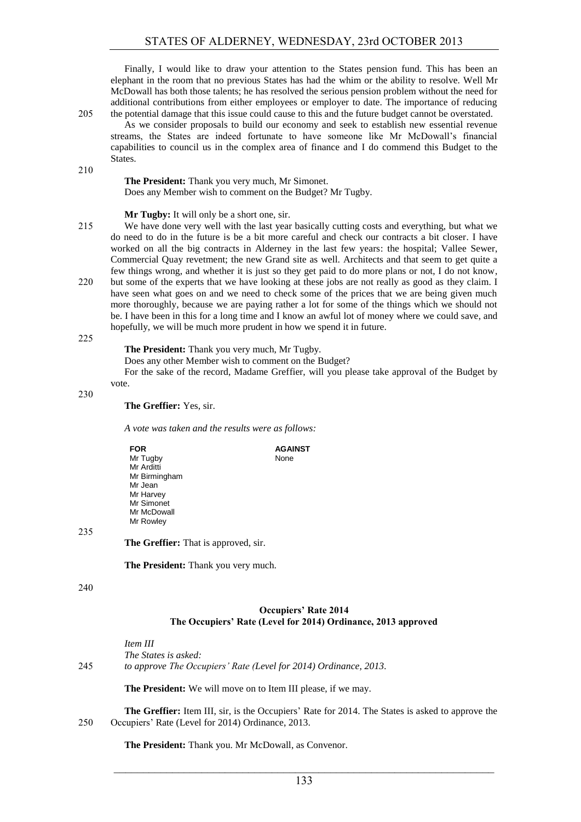Finally, I would like to draw your attention to the States pension fund. This has been an elephant in the room that no previous States has had the whim or the ability to resolve. Well Mr McDowall has both those talents; he has resolved the serious pension problem without the need for additional contributions from either employees or employer to date. The importance of reducing 205 the potential damage that this issue could cause to this and the future budget cannot be overstated.

As we consider proposals to build our economy and seek to establish new essential revenue streams, the States are indeed fortunate to have someone like Mr McDowall's financial capabilities to council us in the complex area of finance and I do commend this Budget to the States.

#### **The President:** Thank you very much, Mr Simonet. Does any Member wish to comment on the Budget? Mr Tugby.

#### **Mr Tugby:** It will only be a short one, sir.

- 215 We have done very well with the last year basically cutting costs and everything, but what we do need to do in the future is be a bit more careful and check our contracts a bit closer. I have worked on all the big contracts in Alderney in the last few years: the hospital; Vallee Sewer, Commercial Quay revetment; the new Grand site as well. Architects and that seem to get quite a few things wrong, and whether it is just so they get paid to do more plans or not, I do not know, 220 but some of the experts that we have looking at these jobs are not really as good as they claim. I have seen what goes on and we need to check some of the prices that we are being given much more thoroughly, because we are paying rather a lot for some of the things which we should not be. I have been in this for a long time and I know an awful lot of money where we could save, and hopefully, we will be much more prudent in how we spend it in future.
- 225

210

#### **The President:** Thank you very much, Mr Tugby.

Does any other Member wish to comment on the Budget?

For the sake of the record, Madame Greffier, will you please take approval of the Budget by vote.

230

#### **The Greffier:** Yes, sir.

*A vote was taken and the results were as follows:*

| <b>FOR</b>    | <b>AGAINST</b> |
|---------------|----------------|
| Mr Tugby      | None           |
| Mr Arditti    |                |
| Mr Birmingham |                |
| Mr Jean       |                |
| Mr Harvey     |                |
| Mr Simonet    |                |
| Mr McDowall   |                |
| Mr Rowley     |                |
|               |                |

235

#### **The Greffier:** That is approved, sir.

**The President:** Thank you very much.

#### 240

#### **Occupiers' Rate 2014 The Occupiers' Rate (Level for 2014) Ordinance, 2013 approved**

*Item III The States is asked:* 245 *to approve The Occupiers' Rate (Level for 2014) Ordinance, 2013.*

**The President:** We will move on to Item III please, if we may.

**The Greffier:** Item III, sir, is the Occupiers' Rate for 2014. The States is asked to approve the 250 Occupiers' Rate (Level for 2014) Ordinance, 2013.

**The President:** Thank you. Mr McDowall, as Convenor.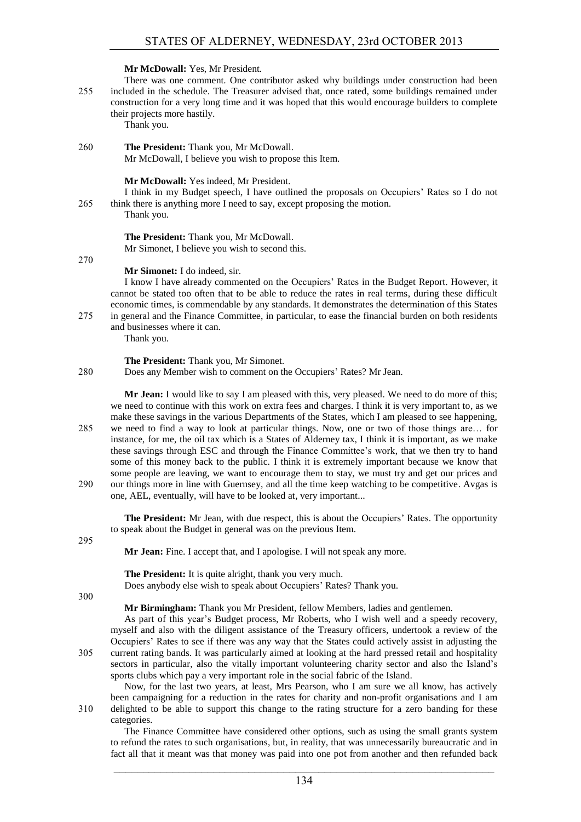#### **Mr McDowall:** Yes, Mr President.

There was one comment. One contributor asked why buildings under construction had been 255 included in the schedule. The Treasurer advised that, once rated, some buildings remained under construction for a very long time and it was hoped that this would encourage builders to complete their projects more hastily.

Thank you.

260 **The President:** Thank you, Mr McDowall. Mr McDowall, I believe you wish to propose this Item.

**Mr McDowall:** Yes indeed, Mr President.

I think in my Budget speech, I have outlined the proposals on Occupiers' Rates so I do not 265 think there is anything more I need to say, except proposing the motion.

Thank you.

**The President:** Thank you, Mr McDowall. Mr Simonet, I believe you wish to second this.

270

**Mr Simonet:** I do indeed, sir.

I know I have already commented on the Occupiers' Rates in the Budget Report. However, it cannot be stated too often that to be able to reduce the rates in real terms, during these difficult economic times, is commendable by any standards. It demonstrates the determination of this States 275 in general and the Finance Committee, in particular, to ease the financial burden on both residents and businesses where it can.

Thank you.

#### **The President:** Thank you, Mr Simonet.

280 Does any Member wish to comment on the Occupiers' Rates? Mr Jean.

**Mr Jean:** I would like to say I am pleased with this, very pleased. We need to do more of this; we need to continue with this work on extra fees and charges. I think it is very important to, as we make these savings in the various Departments of the States, which I am pleased to see happening, 285 we need to find a way to look at particular things. Now, one or two of those things are… for instance, for me, the oil tax which is a States of Alderney tax, I think it is important, as we make these savings through ESC and through the Finance Committee's work, that we then try to hand some of this money back to the public. I think it is extremely important because we know that some people are leaving, we want to encourage them to stay, we must try and get our prices and 290 our things more in line with Guernsey, and all the time keep watching to be competitive. Avgas is one, AEL, eventually, will have to be looked at, very important...

**The President:** Mr Jean, with due respect, this is about the Occupiers' Rates. The opportunity to speak about the Budget in general was on the previous Item.

295

**Mr Jean:** Fine. I accept that, and I apologise. I will not speak any more.

**The President:** It is quite alright, thank you very much. Does anybody else wish to speak about Occupiers' Rates? Thank you.

300

**Mr Birmingham:** Thank you Mr President, fellow Members, ladies and gentlemen.

As part of this year's Budget process, Mr Roberts, who I wish well and a speedy recovery, myself and also with the diligent assistance of the Treasury officers, undertook a review of the Occupiers' Rates to see if there was any way that the States could actively assist in adjusting the 305 current rating bands. It was particularly aimed at looking at the hard pressed retail and hospitality sectors in particular, also the vitally important volunteering charity sector and also the Island's sports clubs which pay a very important role in the social fabric of the Island.

Now, for the last two years, at least, Mrs Pearson, who I am sure we all know, has actively been campaigning for a reduction in the rates for charity and non-profit organisations and I am 310 delighted to be able to support this change to the rating structure for a zero banding for these categories.

The Finance Committee have considered other options, such as using the small grants system to refund the rates to such organisations, but, in reality, that was unnecessarily bureaucratic and in fact all that it meant was that money was paid into one pot from another and then refunded back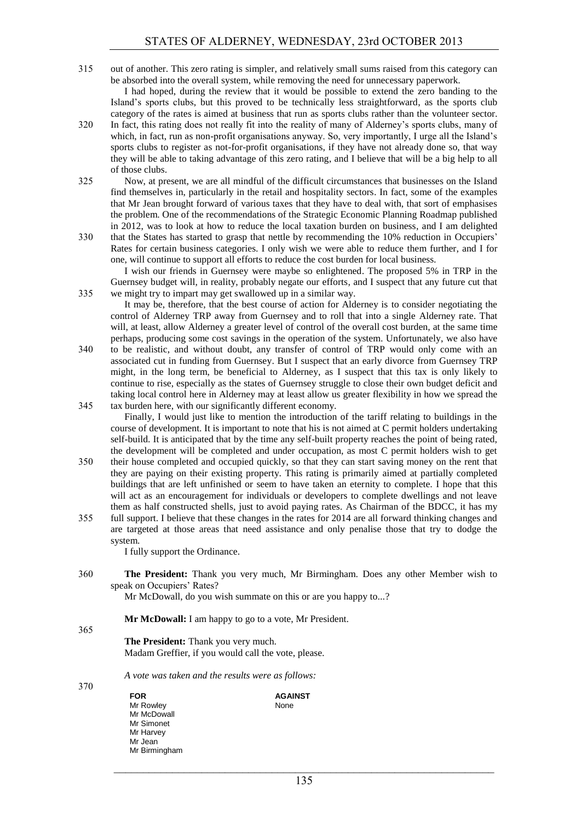315 out of another. This zero rating is simpler, and relatively small sums raised from this category can be absorbed into the overall system, while removing the need for unnecessary paperwork.

I had hoped, during the review that it would be possible to extend the zero banding to the Island's sports clubs, but this proved to be technically less straightforward, as the sports club category of the rates is aimed at business that run as sports clubs rather than the volunteer sector.

- 320 In fact, this rating does not really fit into the reality of many of Alderney's sports clubs, many of which, in fact, run as non-profit organisations anyway. So, very importantly, I urge all the Island's sports clubs to register as not-for-profit organisations, if they have not already done so, that way they will be able to taking advantage of this zero rating, and I believe that will be a big help to all of those clubs.
- 325 Now, at present, we are all mindful of the difficult circumstances that businesses on the Island find themselves in, particularly in the retail and hospitality sectors. In fact, some of the examples that Mr Jean brought forward of various taxes that they have to deal with, that sort of emphasises the problem. One of the recommendations of the Strategic Economic Planning Roadmap published in 2012, was to look at how to reduce the local taxation burden on business, and I am delighted
- 330 that the States has started to grasp that nettle by recommending the 10% reduction in Occupiers' Rates for certain business categories. I only wish we were able to reduce them further, and I for one, will continue to support all efforts to reduce the cost burden for local business.

I wish our friends in Guernsey were maybe so enlightened. The proposed 5% in TRP in the Guernsey budget will, in reality, probably negate our efforts, and I suspect that any future cut that 335 we might try to impart may get swallowed up in a similar way.

It may be, therefore, that the best course of action for Alderney is to consider negotiating the control of Alderney TRP away from Guernsey and to roll that into a single Alderney rate. That will, at least, allow Alderney a greater level of control of the overall cost burden, at the same time perhaps, producing some cost savings in the operation of the system. Unfortunately, we also have

340 to be realistic, and without doubt, any transfer of control of TRP would only come with an associated cut in funding from Guernsey. But I suspect that an early divorce from Guernsey TRP might, in the long term, be beneficial to Alderney, as I suspect that this tax is only likely to continue to rise, especially as the states of Guernsey struggle to close their own budget deficit and taking local control here in Alderney may at least allow us greater flexibility in how we spread the 345 tax burden here, with our significantly different economy.

Finally, I would just like to mention the introduction of the tariff relating to buildings in the course of development. It is important to note that his is not aimed at C permit holders undertaking self-build. It is anticipated that by the time any self-built property reaches the point of being rated, the development will be completed and under occupation, as most C permit holders wish to get

- 350 their house completed and occupied quickly, so that they can start saving money on the rent that they are paying on their existing property. This rating is primarily aimed at partially completed buildings that are left unfinished or seem to have taken an eternity to complete. I hope that this will act as an encouragement for individuals or developers to complete dwellings and not leave them as half constructed shells, just to avoid paying rates. As Chairman of the BDCC, it has my
- 355 full support. I believe that these changes in the rates for 2014 are all forward thinking changes and are targeted at those areas that need assistance and only penalise those that try to dodge the system.

I fully support the Ordinance.

360 **The President:** Thank you very much, Mr Birmingham. Does any other Member wish to speak on Occupiers' Rates?

Mr McDowall, do you wish summate on this or are you happy to...?

#### **Mr McDowall:** I am happy to go to a vote, Mr President.

365

**The President:** Thank you very much. Madam Greffier, if you would call the vote, please.

*A vote was taken and the results were as follows:*

370

**FOR** Mr Rowley Mr McDowall Mr Simonet Mr Harvey Mr Jean Mr Birmingham

#### **AGAINST**

None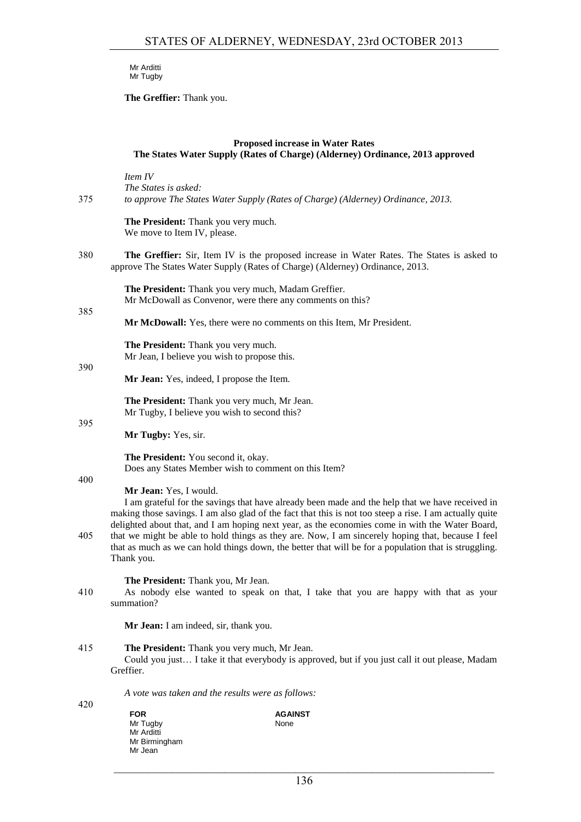Mr Arditti Mr Tugby

**The Greffier:** Thank you.

| <b>Proposed increase in Water Rates</b><br>The States Water Supply (Rates of Charge) (Alderney) Ordinance, 2013 approved |                                                                                                                                                                                                                                                                                                                                                                                                                                                                                                                                                                     |  |
|--------------------------------------------------------------------------------------------------------------------------|---------------------------------------------------------------------------------------------------------------------------------------------------------------------------------------------------------------------------------------------------------------------------------------------------------------------------------------------------------------------------------------------------------------------------------------------------------------------------------------------------------------------------------------------------------------------|--|
| 375                                                                                                                      | Item IV<br>The States is asked:<br>to approve The States Water Supply (Rates of Charge) (Alderney) Ordinance, 2013.                                                                                                                                                                                                                                                                                                                                                                                                                                                 |  |
|                                                                                                                          | The President: Thank you very much.<br>We move to Item IV, please.                                                                                                                                                                                                                                                                                                                                                                                                                                                                                                  |  |
| 380                                                                                                                      | The Greffier: Sir, Item IV is the proposed increase in Water Rates. The States is asked to<br>approve The States Water Supply (Rates of Charge) (Alderney) Ordinance, 2013.                                                                                                                                                                                                                                                                                                                                                                                         |  |
| 385                                                                                                                      | The President: Thank you very much, Madam Greffier.<br>Mr McDowall as Convenor, were there any comments on this?                                                                                                                                                                                                                                                                                                                                                                                                                                                    |  |
|                                                                                                                          | Mr McDowall: Yes, there were no comments on this Item, Mr President.                                                                                                                                                                                                                                                                                                                                                                                                                                                                                                |  |
| 390                                                                                                                      | The President: Thank you very much.<br>Mr Jean, I believe you wish to propose this.                                                                                                                                                                                                                                                                                                                                                                                                                                                                                 |  |
|                                                                                                                          | Mr Jean: Yes, indeed, I propose the Item.                                                                                                                                                                                                                                                                                                                                                                                                                                                                                                                           |  |
| 395                                                                                                                      | The President: Thank you very much, Mr Jean.<br>Mr Tugby, I believe you wish to second this?                                                                                                                                                                                                                                                                                                                                                                                                                                                                        |  |
|                                                                                                                          | Mr Tugby: Yes, sir.                                                                                                                                                                                                                                                                                                                                                                                                                                                                                                                                                 |  |
|                                                                                                                          | The President: You second it, okay.<br>Does any States Member wish to comment on this Item?                                                                                                                                                                                                                                                                                                                                                                                                                                                                         |  |
| 400<br>405                                                                                                               | Mr Jean: Yes, I would.<br>I am grateful for the savings that have already been made and the help that we have received in<br>making those savings. I am also glad of the fact that this is not too steep a rise. I am actually quite<br>delighted about that, and I am hoping next year, as the economies come in with the Water Board,<br>that we might be able to hold things as they are. Now, I am sincerely hoping that, because I feel<br>that as much as we can hold things down, the better that will be for a population that is struggling.<br>Thank you. |  |
| 410                                                                                                                      | The President: Thank you, Mr Jean.<br>As nobody else wanted to speak on that, I take that you are happy with that as your<br>summation?                                                                                                                                                                                                                                                                                                                                                                                                                             |  |
|                                                                                                                          | Mr Jean: I am indeed, sir, thank you.                                                                                                                                                                                                                                                                                                                                                                                                                                                                                                                               |  |
| 415                                                                                                                      | The President: Thank you very much, Mr Jean.<br>Could you just I take it that everybody is approved, but if you just call it out please, Madam<br>Greffier.                                                                                                                                                                                                                                                                                                                                                                                                         |  |
|                                                                                                                          | A vote was taken and the results were as follows:                                                                                                                                                                                                                                                                                                                                                                                                                                                                                                                   |  |
| 420                                                                                                                      | <b>FOR</b><br><b>AGAINST</b><br>Mr Tugby<br>None<br>Mr Arditti<br>Mr Birmingham                                                                                                                                                                                                                                                                                                                                                                                                                                                                                     |  |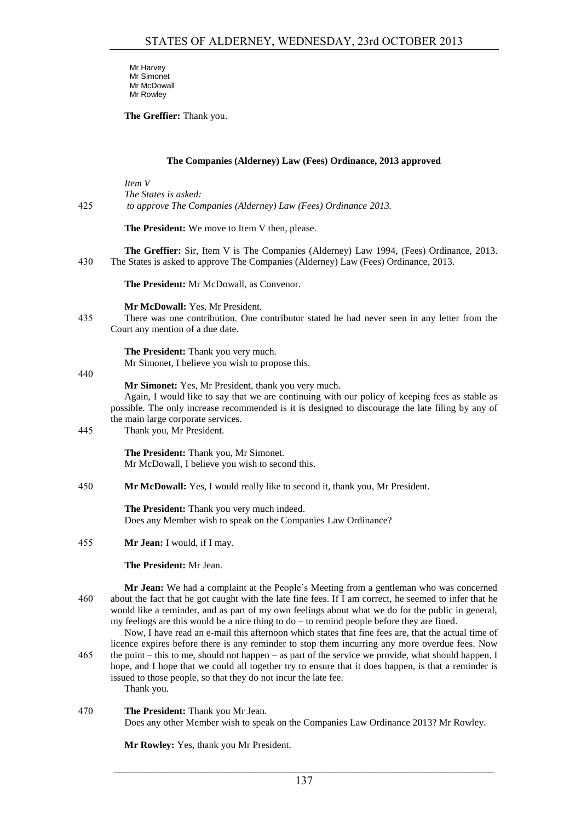Mr Harvey Mr Simonet Mr McDowall Mr Rowley

**The Greffier:** Thank you.

#### **The Companies (Alderney) Law (Fees) Ordinance, 2013 approved**

*Item V The States is asked:* 425 *to approve The Companies (Alderney) Law (Fees) Ordinance 2013.*

**The President:** We move to Item V then, please.

**The Greffier:** Sir, Item V is The Companies (Alderney) Law 1994, (Fees) Ordinance, 2013. 430 The States is asked to approve The Companies (Alderney) Law (Fees) Ordinance, 2013.

**The President:** Mr McDowall, as Convenor.

**Mr McDowall:** Yes, Mr President.

435 There was one contribution. One contributor stated he had never seen in any letter from the Court any mention of a due date.

> **The President:** Thank you very much. Mr Simonet, I believe you wish to propose this.

440

#### **Mr Simonet:** Yes, Mr President, thank you very much.

Again, I would like to say that we are continuing with our policy of keeping fees as stable as possible. The only increase recommended is it is designed to discourage the late filing by any of the main large corporate services.

445 Thank you, Mr President.

**The President:** Thank you, Mr Simonet. Mr McDowall, I believe you wish to second this.

450 **Mr McDowall:** Yes, I would really like to second it, thank you, Mr President.

**The President:** Thank you very much indeed. Does any Member wish to speak on the Companies Law Ordinance?

455 **Mr Jean:** I would, if I may.

**The President:** Mr Jean.

**Mr Jean:** We had a complaint at the People's Meeting from a gentleman who was concerned 460 about the fact that he got caught with the late fine fees. If I am correct, he seemed to infer that he would like a reminder, and as part of my own feelings about what we do for the public in general, my feelings are this would be a nice thing to do – to remind people before they are fined.

Now, I have read an e-mail this afternoon which states that fine fees are, that the actual time of licence expires before there is any reminder to stop them incurring any more overdue fees. Now 465 the point – this to me, should not happen – as part of the service we provide, what should happen, I hope, and I hope that we could all together try to ensure that it does happen, is that a reminder is issued to those people, so that they do not incur the late fee. Thank you.

#### 470 **The President:** Thank you Mr Jean.

Does any other Member wish to speak on the Companies Law Ordinance 2013? Mr Rowley.

**Mr Rowley:** Yes, thank you Mr President.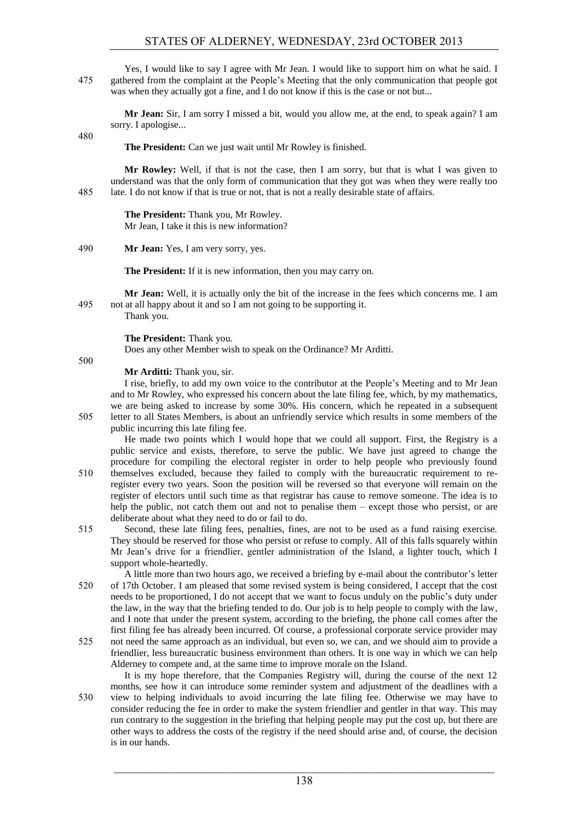#### STATES OF ALDERNEY, WEDNESDAY, 23rd OCTOBER 2013

Yes, I would like to say I agree with Mr Jean. I would like to support him on what he said. I 475 gathered from the complaint at the People's Meeting that the only communication that people got was when they actually got a fine, and I do not know if this is the case or not but...

**Mr Jean:** Sir, I am sorry I missed a bit, would you allow me, at the end, to speak again? I am sorry. I apologise...

480

**The President:** Can we just wait until Mr Rowley is finished.

**Mr Rowley:** Well, if that is not the case, then I am sorry, but that is what I was given to understand was that the only form of communication that they got was when they were really too 485 late. I do not know if that is true or not, that is not a really desirable state of affairs.

> **The President:** Thank you, Mr Rowley. Mr Jean, I take it this is new information?

490 **Mr Jean:** Yes, I am very sorry, yes.

**The President:** If it is new information, then you may carry on.

**Mr Jean:** Well, it is actually only the bit of the increase in the fees which concerns me. I am 495 not at all happy about it and so I am not going to be supporting it.

Thank you.

**The President:** Thank you.

Does any other Member wish to speak on the Ordinance? Mr Arditti.

500

**Mr Arditti:** Thank you, sir.

I rise, briefly, to add my own voice to the contributor at the People's Meeting and to Mr Jean and to Mr Rowley, who expressed his concern about the late filing fee, which, by my mathematics, we are being asked to increase by some 30%. His concern, which he repeated in a subsequent 505 letter to all States Members, is about an unfriendly service which results in some members of the public incurring this late filing fee.

He made two points which I would hope that we could all support. First, the Registry is a public service and exists, therefore, to serve the public. We have just agreed to change the procedure for compiling the electoral register in order to help people who previously found

- 510 themselves excluded, because they failed to comply with the bureaucratic requirement to reregister every two years. Soon the position will be reversed so that everyone will remain on the register of electors until such time as that registrar has cause to remove someone. The idea is to help the public, not catch them out and not to penalise them – except those who persist, or are deliberate about what they need to do or fail to do.
- 515 Second, these late filing fees, penalties, fines, are not to be used as a fund raising exercise. They should be reserved for those who persist or refuse to comply. All of this falls squarely within Mr Jean's drive for a friendlier, gentler administration of the Island, a lighter touch, which I support whole-heartedly.

A little more than two hours ago, we received a briefing by e-mail about the contributor's letter 520 of 17th October. I am pleased that some revised system is being considered, I accept that the cost needs to be proportioned, I do not accept that we want to focus unduly on the public's duty under the law, in the way that the briefing tended to do. Our job is to help people to comply with the law, and I note that under the present system, according to the briefing, the phone call comes after the first filing fee has already been incurred. Of course, a professional corporate service provider may

525 not need the same approach as an individual, but even so, we can, and we should aim to provide a friendlier, less bureaucratic business environment than others. It is one way in which we can help Alderney to compete and, at the same time to improve morale on the Island.

It is my hope therefore, that the Companies Registry will, during the course of the next 12 months, see how it can introduce some reminder system and adjustment of the deadlines with a 530 view to helping individuals to avoid incurring the late filing fee. Otherwise we may have to consider reducing the fee in order to make the system friendlier and gentler in that way. This may run contrary to the suggestion in the briefing that helping people may put the cost up, but there are other ways to address the costs of the registry if the need should arise and, of course, the decision is in our hands.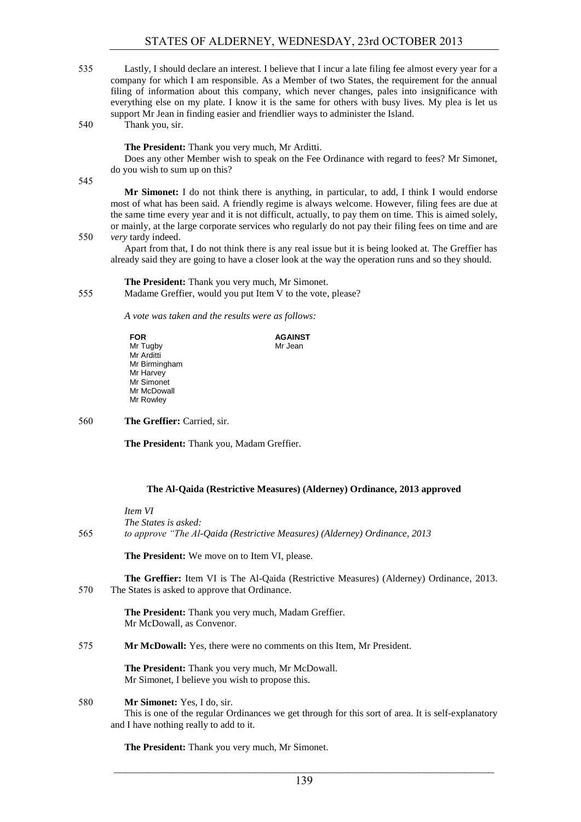#### STATES OF ALDERNEY, WEDNESDAY, 23rd OCTOBER 2013

535 Lastly, I should declare an interest. I believe that I incur a late filing fee almost every year for a company for which I am responsible. As a Member of two States, the requirement for the annual filing of information about this company, which never changes, pales into insignificance with everything else on my plate. I know it is the same for others with busy lives. My plea is let us support Mr Jean in finding easier and friendlier ways to administer the Island. 540 Thank you, sir.

**The President:** Thank you very much, Mr Arditti.

Does any other Member wish to speak on the Fee Ordinance with regard to fees? Mr Simonet, do you wish to sum up on this?

545

**Mr Simonet:** I do not think there is anything, in particular, to add, I think I would endorse most of what has been said. A friendly regime is always welcome. However, filing fees are due at the same time every year and it is not difficult, actually, to pay them on time. This is aimed solely, or mainly, at the large corporate services who regularly do not pay their filing fees on time and are 550 *very* tardy indeed.

Apart from that, I do not think there is any real issue but it is being looked at. The Greffier has already said they are going to have a closer look at the way the operation runs and so they should.

**The President:** Thank you very much, Mr Simonet. 555 Madame Greffier, would you put Item V to the vote, please?

*A vote was taken and the results were as follows:*

| <b>FOR</b>    | <b>AGAINST</b> |
|---------------|----------------|
| Mr Tugby      | Mr Jean        |
| Mr Arditti    |                |
| Mr Birmingham |                |
| Mr Harvey     |                |
| Mr Simonet    |                |
| Mr McDowall   |                |
| Mr Rowley     |                |
|               |                |

560 **The Greffier:** Carried, sir.

**The President:** Thank you, Madam Greffier.

#### **The Al-Qaida (Restrictive Measures) (Alderney) Ordinance, 2013 approved**

*Item VI The States is asked:* 565 *to approve "The Al-Qaida (Restrictive Measures) (Alderney) Ordinance, 2013*

**The President:** We move on to Item VI, please.

**The Greffier:** Item VI is The Al-Qaida (Restrictive Measures) (Alderney) Ordinance, 2013. 570 The States is asked to approve that Ordinance.

> **The President:** Thank you very much, Madam Greffier. Mr McDowall, as Convenor.

575 **Mr McDowall:** Yes, there were no comments on this Item, Mr President.

**The President:** Thank you very much, Mr McDowall. Mr Simonet, I believe you wish to propose this.

#### 580 **Mr Simonet:** Yes, I do, sir.

This is one of the regular Ordinances we get through for this sort of area. It is self-explanatory and I have nothing really to add to it.

**The President:** Thank you very much, Mr Simonet.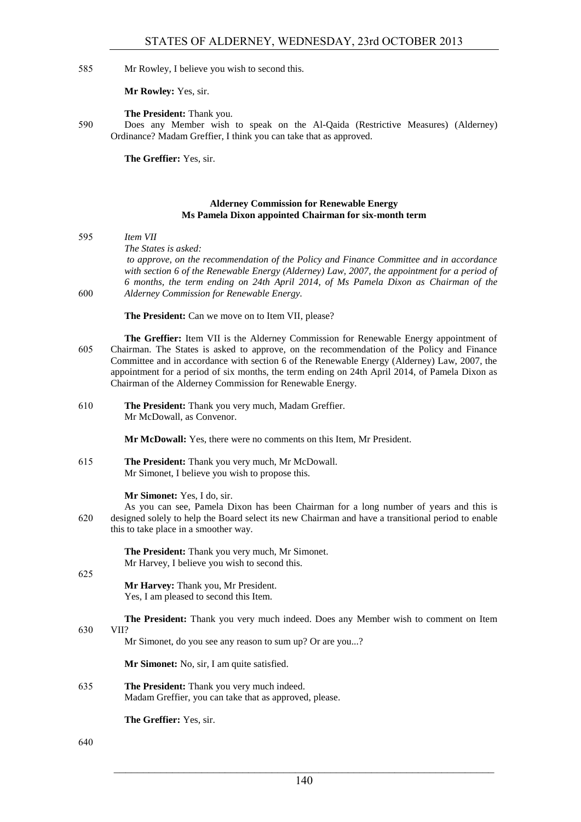585 Mr Rowley, I believe you wish to second this.

**Mr Rowley:** Yes, sir.

**The President:** Thank you.

590 Does any Member wish to speak on the Al-Qaida (Restrictive Measures) (Alderney) Ordinance? Madam Greffier, I think you can take that as approved.

**The Greffier:** Yes, sir.

#### **Alderney Commission for Renewable Energy Ms Pamela Dixon appointed Chairman for six-month term**

595 *Item VII The States is asked: to approve, on the recommendation of the Policy and Finance Committee and in accordance with section 6 of the Renewable Energy (Alderney) Law, 2007, the appointment for a period of 6 months, the term ending on 24th April 2014, of Ms Pamela Dixon as Chairman of the*  600 *Alderney Commission for Renewable Energy.*

The President: Can we move on to Item VII, please?

- **The Greffier:** Item VII is the Alderney Commission for Renewable Energy appointment of 605 Chairman. The States is asked to approve, on the recommendation of the Policy and Finance Committee and in accordance with section 6 of the Renewable Energy (Alderney) Law, 2007, the appointment for a period of six months, the term ending on 24th April 2014, of Pamela Dixon as Chairman of the Alderney Commission for Renewable Energy.
- 610 **The President:** Thank you very much, Madam Greffier. Mr McDowall, as Convenor.

**Mr McDowall:** Yes, there were no comments on this Item, Mr President.

615 **The President:** Thank you very much, Mr McDowall. Mr Simonet, I believe you wish to propose this.

**Mr Simonet:** Yes, I do, sir.

As you can see, Pamela Dixon has been Chairman for a long number of years and this is 620 designed solely to help the Board select its new Chairman and have a transitional period to enable this to take place in a smoother way.

> **The President:** Thank you very much, Mr Simonet. Mr Harvey, I believe you wish to second this.

625

**Mr Harvey:** Thank you, Mr President. Yes, I am pleased to second this Item.

**The President:** Thank you very much indeed. Does any Member wish to comment on Item

#### 630 VII?

Mr Simonet, do you see any reason to sum up? Or are you...?

**Mr Simonet:** No, sir, I am quite satisfied.

635 **The President:** Thank you very much indeed. Madam Greffier, you can take that as approved, please.

**The Greffier:** Yes, sir.

640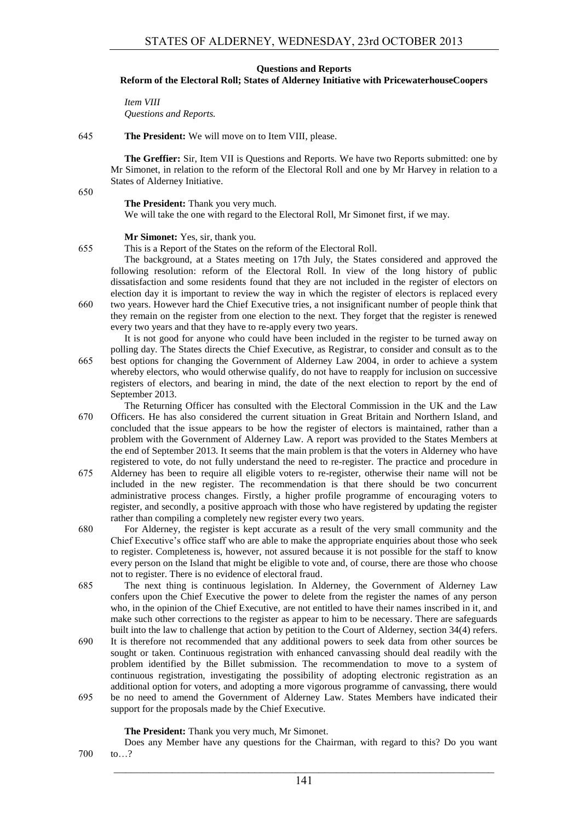#### **Questions and Reports**

#### **Reform of the Electoral Roll; States of Alderney Initiative with PricewaterhouseCoopers**

*Item VIII Questions and Reports.*

#### 645 **The President:** We will move on to Item VIII, please.

**The Greffier:** Sir, Item VII is Questions and Reports. We have two Reports submitted: one by Mr Simonet, in relation to the reform of the Electoral Roll and one by Mr Harvey in relation to a States of Alderney Initiative.

650

**The President:** Thank you very much.

We will take the one with regard to the Electoral Roll, Mr Simonet first, if we may.

#### **Mr Simonet:** Yes, sir, thank you.

655 This is a Report of the States on the reform of the Electoral Roll.

The background, at a States meeting on 17th July, the States considered and approved the following resolution: reform of the Electoral Roll. In view of the long history of public dissatisfaction and some residents found that they are not included in the register of electors on election day it is important to review the way in which the register of electors is replaced every 660 two years. However hard the Chief Executive tries, a not insignificant number of people think that they remain on the register from one election to the next. They forget that the register is renewed every two years and that they have to re-apply every two years.

It is not good for anyone who could have been included in the register to be turned away on polling day. The States directs the Chief Executive, as Registrar, to consider and consult as to the 665 best options for changing the Government of Alderney Law 2004, in order to achieve a system whereby electors, who would otherwise qualify, do not have to reapply for inclusion on successive registers of electors, and bearing in mind, the date of the next election to report by the end of September 2013.

The Returning Officer has consulted with the Electoral Commission in the UK and the Law 670 Officers. He has also considered the current situation in Great Britain and Northern Island, and concluded that the issue appears to be how the register of electors is maintained, rather than a problem with the Government of Alderney Law. A report was provided to the States Members at the end of September 2013. It seems that the main problem is that the voters in Alderney who have registered to vote, do not fully understand the need to re-register. The practice and procedure in

- 675 Alderney has been to require all eligible voters to re-register, otherwise their name will not be included in the new register. The recommendation is that there should be two concurrent administrative process changes. Firstly, a higher profile programme of encouraging voters to register, and secondly, a positive approach with those who have registered by updating the register rather than compiling a completely new register every two years.
- 680 For Alderney, the register is kept accurate as a result of the very small community and the Chief Executive's office staff who are able to make the appropriate enquiries about those who seek to register. Completeness is, however, not assured because it is not possible for the staff to know every person on the Island that might be eligible to vote and, of course, there are those who choose not to register. There is no evidence of electoral fraud.
- 685 The next thing is continuous legislation. In Alderney, the Government of Alderney Law confers upon the Chief Executive the power to delete from the register the names of any person who, in the opinion of the Chief Executive, are not entitled to have their names inscribed in it, and make such other corrections to the register as appear to him to be necessary. There are safeguards built into the law to challenge that action by petition to the Court of Alderney, section 34(4) refers.
- 690 It is therefore not recommended that any additional powers to seek data from other sources be sought or taken. Continuous registration with enhanced canvassing should deal readily with the problem identified by the Billet submission. The recommendation to move to a system of continuous registration, investigating the possibility of adopting electronic registration as an additional option for voters, and adopting a more vigorous programme of canvassing, there would 695 be no need to amend the Government of Alderney Law. States Members have indicated their
	- support for the proposals made by the Chief Executive.

**The President:** Thank you very much, Mr Simonet.

Does any Member have any questions for the Chairman, with regard to this? Do you want 700 to…?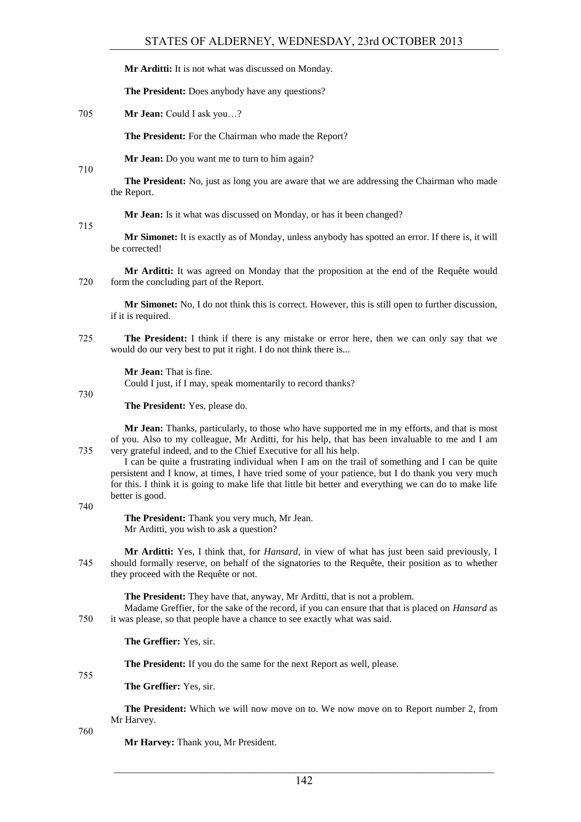**Mr Arditti:** It is not what was discussed on Monday.

**The President:** Does anybody have any questions?

705 **Mr Jean:** Could I ask you…?

**The President:** For the Chairman who made the Report?

**Mr Jean:** Do you want me to turn to him again?

710

**The President:** No, just as long you are aware that we are addressing the Chairman who made the Report.

**Mr Jean:** Is it what was discussed on Monday, or has it been changed?

715

**Mr Simonet:** It is exactly as of Monday, unless anybody has spotted an error. If there is, it will be corrected!

**Mr Arditti:** It was agreed on Monday that the proposition at the end of the Requête would 720 form the concluding part of the Report.

**Mr Simonet:** No, I do not think this is correct. However, this is still open to further discussion, if it is required.

725 **The President:** I think if there is any mistake or error here, then we can only say that we would do our very best to put it right. I do not think there is...

**Mr Jean:** That is fine.

Could I just, if I may, speak momentarily to record thanks?

730

**The President:** Yes, please do.

**Mr Jean:** Thanks, particularly, to those who have supported me in my efforts, and that is most of you. Also to my colleague, Mr Arditti, for his help, that has been invaluable to me and I am 735 very grateful indeed, and to the Chief Executive for all his help.

I can be quite a frustrating individual when I am on the trail of something and I can be quite persistent and I know, at times, I have tried some of your patience, but I do thank you very much for this. I think it is going to make life that little bit better and everything we can do to make life better is good.

740

**The President:** Thank you very much, Mr Jean. Mr Arditti, you wish to ask a question?

**Mr Arditti:** Yes, I think that, for *Hansard*, in view of what has just been said previously, I 745 should formally reserve, on behalf of the signatories to the Requête, their position as to whether they proceed with the Requête or not.

**The President:** They have that, anyway, Mr Arditti, that is not a problem.

Madame Greffier, for the sake of the record, if you can ensure that that is placed on *Hansard* as 750 it was please, so that people have a chance to see exactly what was said.

**The Greffier:** Yes, sir.

**The President:** If you do the same for the next Report as well, please.

755

**The Greffier:** Yes, sir.

**The President:** Which we will now move on to. We now move on to Report number 2, from Mr Harvey.

760

**Mr Harvey:** Thank you, Mr President.